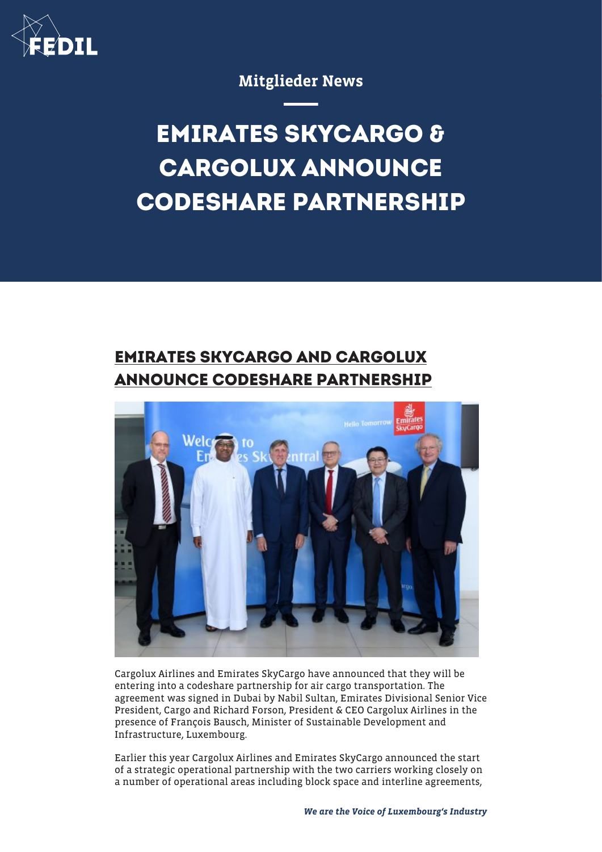

## Mitglieder News

## **EMIRATES SKYCARGO & CARGOLUX ANNOUNCE CODESHARE PARTNERSHIP**

## **EMIRATES SKYCARGO AND CARGOLUX ANNOUNCE CODESHARE PARTNERSHIP**



Cargolux Airlines and Emirates SkyCargo have announced that they will be entering into a codeshare partnership for air cargo transportation. The agreement was signed in Dubai by Nabil Sultan, Emirates Divisional Senior Vice President, Cargo and Richard Forson, President & CEO Cargolux Airlines in the presence of François Bausch, Minister of Sustainable Development and Infrastructure, Luxembourg.

Earlier this year Cargolux Airlines and Emirates SkyCargo announced the start of a strategic operational partnership with the two carriers working closely on a number of operational areas including block space and interline agreements,